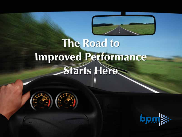

# **The Road to** Improved Performance



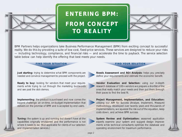

### *ENTERING BPM: FROM CONCEPT TO REALITY*



*BPM Partners helps organizations take Business Performance Management (BPM) from exciting concept to successful reality. We do this by providing a suite of low-cost, fixed-price services. These services are designed to reduce your risks — including technology, compliance, and financial risks — and accelerate the time to payback. The service selection table below can help identify the offering that best meets your needs.*

*Just starting: trying to determine what BPM components are needed and convince management to proceed with the project.*

*Ready to buy: looking for vendors that meet your requirements while trying to cut through the marketing buzzwords and see past the slick demos.* 

*Implementing: the product is purchased and now comes the biggest challenge: an on-time, on-budget implementation that delivers on the promise of BPM and is accepted by end users.* 

*Tuning: the system is up and running but doesn't have all the capabilities originally envisioned and the performance is not where it needs to be. (Not applicable for clients of our selection and implementation services.)* 

*FIND YOUR SITUATION FIND YOUR SOLUTION*

*Needs Assessment and ROI Analysis: helps you precisely define your requirements and estimate the economic benefit.*

*Vendor Evaluation and Selection: using our in-depth research database of 100+ vendors we prepare a shortlist of the ones that really match your needs and then put them through their paces to find the best fit.*

*Project Management, Implementation, and Education: utilizing our AIM for Success (Analyze, Implement, Measure) methodology, developed over twenty years and thousands of implementations, we squeeze the risk out of the equation, keep costs down, and achieve BPM success.* 

*System Review and Optimization: seasoned application experts examine your system and suggest design improvements while technical consultants optimize the database and operating environment for maximum performance.* 

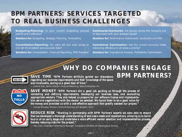### *BPM PARTNERS: SERVICES TARGETED TO REAL BUSINESS CHALLENGES*

*Budgeting/Planning: Is your current budgeting process painful and ineffective? Solutions for: Budgeting, Strategic Planning, Forecasting* 

*Consolidation/Reporting: Do users still lack easy access to one set of consistent and accurate data?* 

*Solutions for: Consolidation, Financial Reporting, IFRS Transition* 

*Dashboards/Scorecards: Are groups across the company out of alignment with your strategic goals? Solutions for: Performance Dashboards, Scorecards and KPIs* 

*Operational Optimization: Has the current economy made improving efficiency in all areas a priority?*

*Solutions for: Operational Analysis, Profitability Optimization* 

### *WHY DO COMPANIES ENGAGE BPM PARTNERS?*



*SAVE TIME "BPM Partners skillfully guided our discussions regarding our business requirements and their knowledge of the space was invaluable, saving us a great deal of time."*

*— Joanne Diaz, Senior Director, Financial Reporting, Sykes Enterprises, Inc.* 



*SAVE MONEY "BPM Partners did a good job guiding us through the process of validating and defining requirements, developing our business case, and evaluating appropriate vendors. They also helped us prepare for our software license and implementation service negotiations with the vendor we selected. We found them to be a good value for the money and provided us with a cost-effective approach that greatly assisted our project."* 

*— George Brinegar, Director, Financial Planning and Budgets, OCLC*



*REDUCE RISK "Working in partnership with BPM Partners' experts we were able to ensure that we developed a thorough understanding of end-users needs and expectations, allowing us to build buy-in at an early stage and undertake a more efficient vendor selection and implementation process, thereby reducing risks for the project."*

*— Alan Clint, Corporate Performance Manager, Compagnie Générale de Géophysique Services*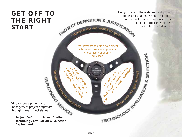### *GET OFF TO THE RIGHT START*

*Hurrying any of these stages, or skipping*  the related tasks shown in this project<br>diagram, will create unnecessary risks<br>that could significantly hinder<br>a satisfactory outcome.<br>**PROJECT DEFINITION & JUSTIFICATION** *diagram, will create unnecessary risks that could significantly hinder a satisfactory outcome.*  Where do we want to go.

> *• requirements and KPI development • • business case development • • roadmap workshop •*

*• education •*

**PEAK** ERFORMANCE

۵

*• IT assessment • • vendor selection •*

*• implementation partner selection • • guidance in software negotiations •*

*• custom education • • functional architecture •* **MEMORY** 

*• pilot testing & rollout plan • • engagement management •*

**PRINCES**<br>
Virtually every performance<br>
management project progresses<br>
through three distinct stages.<br>
• Project Definition & Justification *management project progresses through three distinct stages.* 

- *• Project Definition & Justification*
- *• Technology Evaluation & Selection*
- *• Deployment*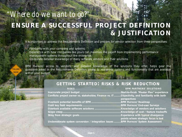# *ENSURE A SUCCESSFUL PROJECT DEFINITION & JUSTIFICATION "Where do we want to go?"*

*It is important to address the Requirements Definition and prepare for vendor selection from three perspectives:* 

- *• Familiarity with your company and systems;*
- *• Experience with how companies like yours can maximize the payoff from implementing performance management systems throughout the enterprise;*
- *• Up-to-date detailed knowledge of many software vendors and their solutions.*

*BPM PARTNERS' access to vendors, and detailed knowledge of the solutions they offer, helps gear the questions asked in the Requirements Definition phase to real-world options and functionality that are available within your budget.*

*Inaccurate project budget ...................................................Start-to-finish "Master Plan" experience Conflicts: project owner vs. stakeholder, Finance vs. IT.........Objectivity, and familiarity with both* 

*Overlook potential benefits of BPM .....................................BPM PARTNERS' Roadmap Omit key field requirements ................................................BPM PARTNERS' End-user Surveys Overlook available software solutions .................................Knowledge of vendors and solutions Scope creep.........................................................................Knowledge of cost / feature tradeoffs Stray from strategic goals....................................................Experience with typical divergence* 

*Underestimate system conversion / integration issues .........BPM PARTNERS' System Assessment*

### *RISKS BPM PARTNERS' SOLUTIONS*

**PARTICUS STARTED: RISKS & RISK REDUCTION**<br> **ELEKS**<br> **REDUCTION**<br> **RESPOND ARTINERS**<br> **RESPOND ARTINERS**<br> **PARTINERS**<br> **PARTINERS**<br> **PARTINERS**<br> **DEPARTINERS**<br> **DEPARTINERS**<br> **DEPARTINERS**<br> **DEPARTINERS**<br> **DEPARTINERS**<br> **D** *perspectives points where strategic focus is lost*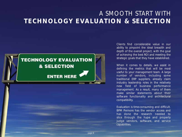### *A SMOOTH START WITH TECHNOLOGY EVALUATION & SELECTION*



*Clients find considerable value in our ability to pinpoint the ideal breadth and depth of the overall project, with the goal of achieving the best ROI and meeting the strategic goals that they have established.* 

*When it comes to details, we assist in defining the metrics that will be most useful to your management team. A large number of vendors, including some traditional ERP suppliers, already claim industry leadership roles in the relatively new field of business performance management. As a result, many of them make similar statements about their software functionality and architectural compatibility.* 

*Evaluation is time-consuming and difficult. BPM PARTNERS has the vendor access and has done the research needed to slice through the hype and properly judge vendors, software, and service capabilities.*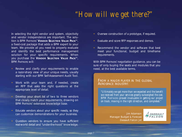# *"How will we get there?"*

*In selecting the right vendor and system, objectivity and vendor independence are important. The solution is BPM PARTNERS' VENDOR SELECTION VALUE PACKTM, a fixed-cost package that adds a BPM expert to your team. We provide all you need to properly evaluate and identify the best performance management solution for your specific requirements. When you purchase the VENDOR SELECTION VALUE PACKTM, BPM PARTNERS will:*

- *• Review and clarify your requirements to enable a razor-sharp view of your unique needs, usually starting with our BPM Self-Assessment Audit Tool.*
- *• Work with your team and, if needed, create an RFP that asks the right questions at the appropriate level of detail.*
- *• Develop your short list of two to three vendors that closely match your requirements, drawing on BPM PARTNERS' extensive knowledge base.*
- *• Educate vendors about your specific needs, so they can customize demonstrations for your business.*
- *• Question vendors to ensure you have sufficient real-world detail and "under-the-hood" knowledge.*
- *• Oversee construction of a prototype, if required.*
- *• Evaluate and score RFP responses and demos.*
- *• Recommend the vendor and software that best meet your functional, budget and timeframe requirements.*

*With BPM PARTNERS' negotiation guidance, you can be sure of only buying the seats and modules that you need, at the best available terms.*

### *FROM A MAJOR PLAYER IN THE GLOBAL AEROSPACE INDUSTRY:*

*"Ultimately we got more than we expected and the benefit we received from your services greatly outweighed the cost. BPM PARTNERS proved invaluable in getting our project on track, moving in the right direction, and completed."*

> *Jim Adamson Manager Budget & Forecast Dassault Falcon Jet*

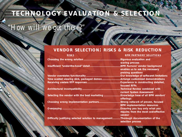# *TECHNOLOGY EVALUATION & SELECTION*

# *"How will we get there?"*

### *VENDOR SELECTION: RISKS & RISK REDUCTION*

*Choosing the wrong solution ..............................................Rigorous evaluation and* 

*Insufficient "under-the-hood" detail.......................................BPM PARTNERS' vendor background* 

*Vendor overstates functionality ...........................................Our knowledge of software's limitations Time wasted viewing slick, packaged demos .......................Arrange customized demonstrations Receiving useless RFP responses..........................................Experience in constructing detailed,* 

*Architectural incompatibility................................................Technical Review combined with* 

*Selecting the vendor with the best marketing .....................Knowledge base of all BPM vendors'* 

*Choosing wrong implementation partners...........................Strong network of proven, focused* 

*Difficulty justifying selected solution to management..........Thorough documentation of the* 

*page 8*

### *RISKS BPM PARTNERS' SOLUTIONS*

*scoring process enables us to ask the necessary probing questions focused RFPs current System Assessment offerings BPM implementation resources Overpaying .........................................................................Ensuring you buy only what you require; from the most cost-effective vendor selection process*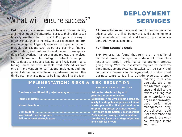### **DEPLOYMENT SERVICES**

### *"What will ensure success?"*

*Performance management projects have significant visibility and impact upon the enterprise. Because their dollar cost is typically less than that of most ERP projects, it is easy to underestimate their complexity. In our experience, performance management typically requires the implementation of multiple applications such as portals, planning, financial consolidation, and dashboard development. These applications often overlap. A range of IT sub-projects are involved, from database and technology infrastructure setup, to source data cleansing and loading, and finally performance tuning. There are often multiple products/modules from one or more vendors to learn about, implement, and integrate. External implementation experts—vendor or other third-party—may also need to be integrated into the team.*

*All these activities and personnel need to be coordinated in advance with a unified framework, while adhering to a tight schedule and budget, and keeping up communications with your stakeholders.*

### *Fulfilling Strategic Goals*

*BPM PARTNERS has found that relying on a traditional technical project manager to address all these challenges can result in performance management projects going astray. With the investment required for performance management systems, mistakes can be costly and company exposure can be significant. It makes good business sense to tap into outside expertise, thereby*

### *IMPLEMENTATION: RISKS & RISK REDUCTION RISKS BPM PARTNERS' SOLUTIONS Overtask a traditional IT project manager............................Add enterprise-broad layer of planning & communication Technical pitfalls .................................................................Experience with BPM project obstacles, ability to anticipate and provide solutions Missed deadlines ................................................................Master plan with critical path and backup plan, supported by status reports Over budget ......................................................................Tight team coordination & management Insufficient user acceptance ...............................................Participation, surveys, and education Failure to meet strategic goals ...........................................Unrelenting focus on strategic objectives and business drivers*

*reducing risks considerably. We bring considerable experience and skill to the task of ensuring that an enterprise-wide, organizationallydeep performance management project achieves rapid user acceptance and adheres to the original strategic intent and need.*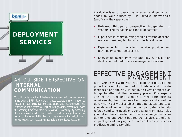### *DEPLOYMENT SERVICES*

**bpm** 

### *AN OUTSIDE PERSPECTIVE ON INTERNAL COMMUNICATION*

*To build understanding of the benefits of a new performance management system, BPM PARTNERS arranges separate demos targeted to relevant IT staff, executive level stakeholders, and intended users. This exposure results in greater willingness throughout the company to invest the necessary time and effort to implement successfully. By extending this educational effort to field locations, and including them in the testing of the system, BPM PARTNERS helps ensure that rollout is not only successful, but meets an enthusiastic and motivated reception.*

*A valuable layer of overall management and guidance is added to your project by BPM PARTNERS' professionals. Specifically, they apply their:*

- *• Unbiased third-party perspective, independent of vendors, line managers and the IT department*
- *• Experience in communicating with all stakeholders and resolving business, territorial, and technical issues*
- *• Experience from the client, service provider and technology vendor perspectives*
- *• Knowledge gained from focusing day-in, day-out on deployment of performance management systems*

# EFFECTIVE **ENGAGEMENT**

*BPM PARTNERS will work with your leadership to guide the project successfully from start to finish — and provide feedback along the way. To begin, an overall project plan brings together all the necessary pieces. Our experts architect the functional solution to meet your business requirements, then oversee all subprojects and coordination. With weekly deliverables, ongoing status reports to your stakeholders, our objective third-party stance to help referee conflicting needs or agendas, BPM PARTNERS helps you deliver the successful performance management solution on time and within budget. Our services are offered in packages of varying sizes, which keeps your costs predictable and reasonable.*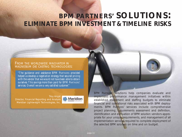### *BPM PARTNERS' SOLUTIONS: ELIMINATE BPM INVESTMENT & TIMELINE RISKS*

### *FROM THE WORLDWIDE INNOVATOR IN MAGNESIUM DIE CASTING TECHNOLOGIES:*

*"The guidance and assistance BPM PARTNERS provided helped us develop a negotiation strategy that secured pricing with the vendor that we would not have been able to obtain ourselves. This savings more than paid for BPM PARTNERS' services. Overall we are a very satisfied customer."*

*Troy Angst Director, Financial Reporting and Analysis Meridian Lightweight Technologies, Inc.* 



*BPM PARTNERS' solutions help companies evaluate and implement performance management initiatives within established investment and staffing budgets to eliminate financial and operational risks associated with BPM deployments. BPM PARTNERS' services include comprehensive project planning, requirements assessment and definition, identification and evaluation of BPM solution vendors appropriate for your unique requirements, and management of all implementation services required to complete deployment of the selected BPM solution on time and on budget.*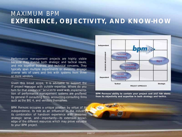### *MAXIMUM BPM EXPERIENCE, OBJECTIVITY, AND KNOW-HOW*

*Performance management projects are highly visible because they involve both strategic and tactical issues, and mix together business and technical concerns. They typically span multiple departments or divisions, engage diverse sets of users and link with systems from three or more vendors.*

*Given this broad scope, it is advisable to support the IT project manager with outside expertise. Where do you turn for that assistance? Services to assist with implementation of performance management systems are proffered by general IT consulting firms, accounting-consulting firms such as the BIG 4, and vendors themselves.*

*BPM PARTNERS occupies a unique position by virtue of its independence, its role as an influencer in the industry, its combination of hands-on experience with seasoned strategic sense, and—importantly—its extensive knowledge of the different resources which may prove valuable to your BPM project.*



*BPM PARTNERS' ability to contain your project cost and risk stems from its objectivity and expertise in both strategy and tactics.*

Ka-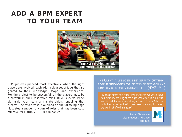### *ADD A BPM EXPERT TO YOUR TEAM*



*BPM projects proceed most effectively when the right players are involved, each with a clear set of tasks that are geared to their knowledge, scope, and experience. For the project to be successful, all the players must be successful in their respective roles. BPM PARTNERS works alongside your team and stakeholders, enabling that success. The task breakout outlined on the following page illustrates a proven division of roles that has been costeffective for FORTUNE 1000 companies.*

*THE CLIENT: A LIFE SCIENCE LEADER WITH CUTTING-EDGE TECHNOLOGIES FOR BIOSCIENCE RESEARCH AND BIOPHARMACEUTICAL MANUFACTURING. (NYSE: MIL)*

*"Without expert help from BPM PARTNERS we would have had difficulty arriving at the right vendor to suit our needs. We realized that we were making a 'once in a decade' choice with the money and effort we were planning to invest, we could not afford a misstep."*

> *Robert Tonsmeire Vice President - Finance Millipore*

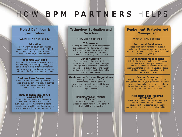# *HOW BPM PARTNERS HELPS*

### *Project Definition & Justification*

*"Where do we want to go?"*

#### *Education*

*BPM Master Class covers performance management basics, benchmarks and best practices to get your team up to speed and aligned to kick-off your BPM initiative.*

#### *Roadmap Workshop*

*Laying out the strategic framework for your BPM initiative, this workshop enables you to assess where you are, determine where you want to go and provide direction on how to get there in the form of a phased roadmap.*

#### *Business Case Development*

*Whether it is to justify funding, prioritize the project or just set corporate goals this service identifies returns and benefits that are specific to your company.*

### *Requirements and/or KPI Development*

*Conduct discovery sessions and review with client team to summarize and prioritize overall business requirements while testing for feasibility and missed benefits. Review existing key performance indicators and propose others.*

### *Technology Evaluation and Selection*

*"How will we get there?"*

#### *IT Assessment*

*Working together with your IT management, this assessment includes review of existing systems, data sources, hardware and other infrastructure requirements for BPM. Deliverable is a risk mitigation action plan.* 

#### *Vendor Selection*

*Provides proven methodology, tools and expert vendor-neutral guidance to take you through requirements review, vendor fit analysis, RFPs, custom demos and vendor scoring to arrive at the ideal solution while reducing time to payback.*

#### *Guidance on Software Negotiations*

*BPM experts provide overview of expectations during the contract negotiation process. Includes guidelines on how to buy only what is needed to support target initiatives.*

### *Implementation Partner Selection*

*Includes implementation expertise assessment, recommendations for contract and cultural fit with project team.*

### *Deployment Strategies and Management*

#### *"What will ensure success?"*

#### *Functional Architecture*

*Maps client requirements to the selected technology. Oversee key design decisions to optimize performance, minimize maintenance and deliver on original goals..* 

#### *Engagement Management*

*Objective business and technology BPM expert oversees master project plan, maintains communication with stakeholders on project progress, identifies critical path issues and keeps individual project managers aligned with business requirements.*

#### *Custom Education*

*Unlike generic product training, the focus of this end user education is your specific business use of the selected applications which greatly reduces the learning curve and increases the successful adoption of your new BPM solution.*

### *Pilot testing and roadmap development*

*Provide methodology and best practices for pilot testing of a new BPM system. Includes development of a roadmap for successful deployment, including end user rollout guidance.*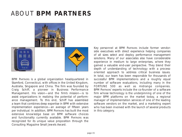### *ABOUT BPM PARTNERS*



*BPM PARTNERS is a global organization headquartered in Stamford, Connecticut, with offices in the United Kingdom, Australia, Singapore and China. The firm was founded by Craig Schiff, a pioneer in Business Performance Management. His vision—and the firm's mission—is to assist organizations in realizing the potential of performance management. To this end, Schiff has assembled a team that combines deep expertise in BPM with extensive implementation experience—an average of fifteen years per individual. In addition, BPM PARTNERS has built the most extensive knowledge base on BPM software choices and functionality currently available. BPM PARTNERS was recognized for its unique value proposition through the Consulting Magazine Small Jewels Award.*

*Key personnel at BPM PARTNERS include former vendorside executives with direct experience helping companies of all sizes select and deploy performance management solutions. Many of our associates also have considerable experience in medium to large enterprises, where they gained a valuable end-user perspective. They blend their depth of understanding of technology with a processoriented approach to address critical business issues. In total, our team has been responsible for thousands of successful BPM implementations and a roughly equal number of software evaluations, including many in the FORTUNE 500 as well as midrange companies. BPM PARTNERS' experts include the co-founder of a software firm whose technology is the underpinning of one of the major BPM platforms on the market today, a regional manager of implementation services of one of the leading software vendors on the market, and a marketing expert who has been involved with the launch of several products in this category.*